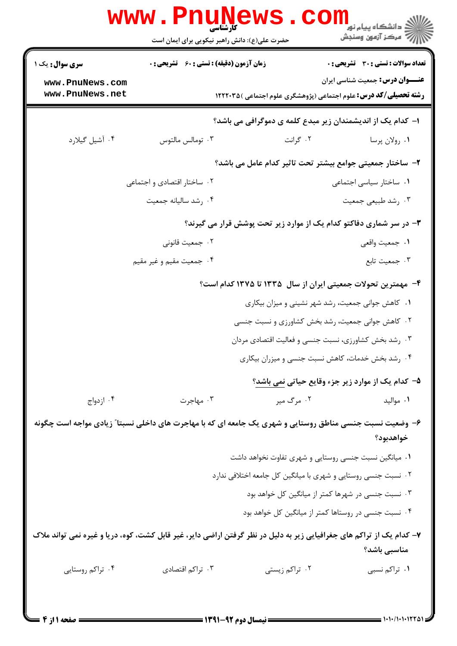|                                                                                                                      | <b>www.Pnune</b><br>حضرت علی(ع): دانش راهبر نیکویی برای ایمان است |                                                               | د دانشڪاه پيام نور<br>(⊂ دانشڪاه پيام نور<br>(7 مرڪز آزمون وسنڊش                                                  |
|----------------------------------------------------------------------------------------------------------------------|-------------------------------------------------------------------|---------------------------------------------------------------|-------------------------------------------------------------------------------------------------------------------|
| <b>سری سوال :</b> یک ۱                                                                                               | <b>زمان آزمون (دقیقه) : تستی : 60 ٪ تشریحی : 0</b>                |                                                               | <b>تعداد سوالات : تستی : 30 - تشریحی : 0</b>                                                                      |
| www.PnuNews.com<br>www.PnuNews.net                                                                                   |                                                                   |                                                               | <b>عنـــوان درس:</b> جمعیت شناسی ایران<br><b>رشته تحصیلی/کد درس:</b> علوم اجتماعی (پژوهشگری علوم اجتماعی )۱۲۲۲۰۳۵ |
|                                                                                                                      |                                                                   |                                                               |                                                                                                                   |
|                                                                                                                      |                                                                   |                                                               | ا– کدام یک از اندیشمندان زیر مبدع کلمه ی دموگرافی می باشد؟                                                        |
| ۰۴ آشیل گیلارد                                                                                                       | ۰۳ تومالس مالتوس                                                  | ۰۲ گرانت                                                      | ٠١ رولان پرسا                                                                                                     |
|                                                                                                                      |                                                                   |                                                               | ۲- ساختار جمعیتی جوامع بیشتر تحت تاثیر کدام عامل می باشد؟                                                         |
|                                                                                                                      | ۰۲ ساختار اقتصادی و اجتماعی                                       |                                                               | ۰۱ ساختار سیاسی اجتماعی                                                                                           |
|                                                                                                                      | ۰۴ رشد ساليانه جمعيت                                              |                                                               | ۰۳ رشد طبیعی جمعیت                                                                                                |
|                                                                                                                      |                                                                   |                                                               | ۳- در سر شماری دفاکتو کدام یک از موارد زیر تحت پوشش قرار می گیرند؟                                                |
|                                                                                                                      | ۰۲ جمعیت قانونی                                                   |                                                               | ۰۱ جمعیت واقعی                                                                                                    |
|                                                                                                                      | ۰۴ جمعیت مقیم و غیر مقیم                                          |                                                               | ۰۳ جمعیت تابع                                                                                                     |
|                                                                                                                      |                                                                   |                                                               | ۴- مهمترین تحولات جمعیتی ایران از سال ۱۳۳۵ تا ۱۳۷۵ کدام است؟                                                      |
|                                                                                                                      |                                                                   |                                                               | ۰۱ کاهش جوانی جمعیت، رشد شهر نشینی و میزان بیکاری                                                                 |
|                                                                                                                      |                                                                   |                                                               | ۰۲ کاهش جوانی جمعیت، رشد بخش کشاورزی و نسبت جنسی                                                                  |
|                                                                                                                      |                                                                   |                                                               | ۰۳ رشد بخش کشاورزی، نسبت جنسی و فعالیت اقتصادی مردان                                                              |
|                                                                                                                      |                                                                   |                                                               | ۰۴ رشد بخش خدمات، کاهش نسبت جنسی و میزران بیکاری                                                                  |
|                                                                                                                      |                                                                   |                                                               | ۵- کدام یک از موارد زیر جزء وقایع حیاتی نمی باشد؟                                                                 |
| ۰۴ ازدواج                                                                                                            | ۰۳ مهاجرت                                                         | ۰۲ مرگ میر                                                    | ٠١ مواليد                                                                                                         |
| ۶- وضعیت نسبت جنسی مناطق روستایی و شهری یک جامعه ای که با مهاجرت های داخلی نسبتا ؒ زیادی مواجه است چگونه             |                                                                   |                                                               |                                                                                                                   |
|                                                                                                                      |                                                                   |                                                               | خواهدبود؟                                                                                                         |
|                                                                                                                      |                                                                   |                                                               | ۰۱ میانگین نسبت جنسی روستایی و شهری تفاوت نخواهد داشت                                                             |
|                                                                                                                      |                                                                   | ۰۲ نسبت جنسی روستایی و شهری با میانگین کل جامعه اختلافی ندارد |                                                                                                                   |
|                                                                                                                      |                                                                   |                                                               | ۰۳ نسبت جنسی در شهرها کمتر از میانگین کل خواهد بود                                                                |
|                                                                                                                      |                                                                   |                                                               | ۰۴ نسبت جنسی در روستاها کمتر از میانگین کل خواهد بود                                                              |
| ۷- کدام یک از تراکم های جغرافیایی زیر به دلیل در نظر گرفتن اراضی دایر، غیر قابل کشت، کوه، دریا و غیره نمی تواند ملاک |                                                                   |                                                               | مناسبي باشد؟                                                                                                      |
| ۰۴ تراکم روستایی                                                                                                     | ۰۳ تراکم اقتصادی                                                  | ۰۲ تراکم زیستی                                                | ۰۱ تراکم نسبی                                                                                                     |
|                                                                                                                      |                                                                   |                                                               |                                                                                                                   |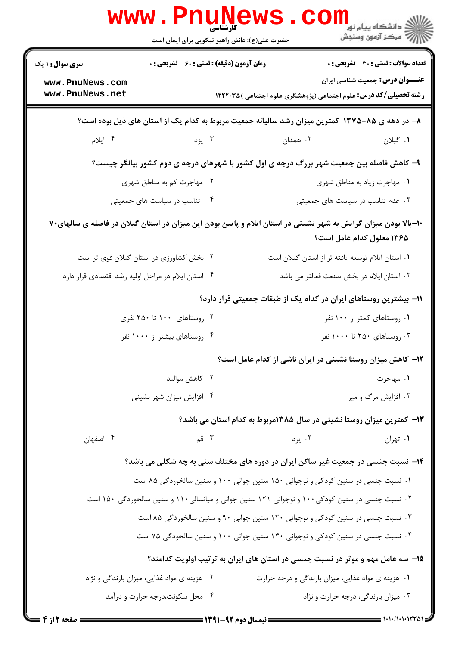|                                                                                                                 | <b>WWW.Pnumews</b><br>حضرت علی(ع): دانش راهبر نیکویی برای ایمان است                           |          | ڪ دانشڪاه پيا <sub>م</sub> نور<br><mark>ر</mark> 7 مرڪز آزمون وسنڊش                                               |
|-----------------------------------------------------------------------------------------------------------------|-----------------------------------------------------------------------------------------------|----------|-------------------------------------------------------------------------------------------------------------------|
| <b>سری سوال :</b> ۱ یک                                                                                          | زمان آزمون (دقیقه) : تستی : 60 ٪ تشریحی : 0                                                   |          | <b>تعداد سوالات : تستی : 30 ٪ تشریحی : 0</b>                                                                      |
| www.PnuNews.com<br>www.PnuNews.net                                                                              |                                                                                               |          | <b>عنـــوان درس:</b> جمعیت شناسی ایران<br><b>رشته تحصیلی/کد درس:</b> علوم اجتماعی (پژوهشگری علوم اجتماعی )۱۲۲۲۰۳۵ |
|                                                                                                                 |                                                                                               |          | ۸– در دهه ی ۸۵-۱۳۷۵ کمترین میزان رشد سالیانه جمعیت مربوط به کدام یک از استان های ذیل بوده است؟                    |
| ۰۴ ايلام                                                                                                        | ۰۳ يزد                                                                                        | ۰۲ همدان | ۰۱ گیلان                                                                                                          |
|                                                                                                                 |                                                                                               |          | ۹- کاهش فاصله بین جمعیت شهر بزرگ درجه ی اول کشور با شهرهای درجه ی دوم کشور بیانگر چیست؟                           |
|                                                                                                                 | ۰۲ مهاجرت کم به مناطق شهری                                                                    |          | ٠١ مهاجرت زياد به مناطق شهري                                                                                      |
|                                                                                                                 | ۰۴ تناسب در سیاست های جمعیتی                                                                  |          | ۰۳ عدم تناسب در سیاست های جمعیتی                                                                                  |
| ۱۰-بالا بودن میزان گرایش به شهر نشینی در استان ایلام و پایین بودن این میزان در استان گیلان در فاصله ی سالهای۷۰- |                                                                                               |          | ۱۳۶۵ معلول کدام عامل است؟                                                                                         |
|                                                                                                                 | ۰۲ بخش کشاورزی در استان گیلان قوی تر است                                                      |          | ٠١ استان ايلام توسعه يافته تر از استان گيلان است                                                                  |
|                                                                                                                 | ۰۴ استان ایلام در مراحل اولیه رشد اقتصادی قرار دارد                                           |          | ۰۳ استان ایلام در بخش صنعت فعالتر می باشد                                                                         |
|                                                                                                                 |                                                                                               |          | ۱۱– بیشترین روستاهای ایران در کدام یک از طبقات جمعیتی قرار دارد؟                                                  |
|                                                                                                                 | ۰۲ روستاهای ۱۰۰ تا ۲۵۰ نفری                                                                   |          | ۰۱ روستاهای کمتر از ۱۰۰ نفر                                                                                       |
|                                                                                                                 | ۰۴ روستاهای بیشتر از ۱۰۰۰ نفر                                                                 |          | ۰۳ روستاهای ۲۵۰ تا ۱۰۰۰ نفر                                                                                       |
|                                                                                                                 |                                                                                               |          | ۱۲- کاهش میزان روستا نشینی در ایران ناشی از کدام عامل است؟                                                        |
|                                                                                                                 | ۰۲ کاهش موالید                                                                                |          | ۰۱ مهاجرت                                                                                                         |
|                                                                                                                 | ۰۴ افزایش میزان شهر نشینی                                                                     |          | ۰۳ افزایش مرگ و میر                                                                                               |
|                                                                                                                 |                                                                                               |          | ۱۳- کمترین میزان روستا نشینی در سال ۱۳۸۵مربوط به کدام استان می باشد؟                                              |
| ۰۴ اصفهان                                                                                                       | ۰۳ قم                                                                                         | ۰۲ یزد   | ۰۱ تهران                                                                                                          |
|                                                                                                                 |                                                                                               |          | ۱۴- نسبت جنسی در جمعیت غیر ساکن ایران در دوره های مختلف سنی به چه شکلی می باشد؟                                   |
|                                                                                                                 | ۰۱ نسبت جنسی در سنین کودکی و نوجوانی ۱۵۰ سنین جوانی ۱۰۰ و سنین سالخوردگی ۸۵ است               |          |                                                                                                                   |
|                                                                                                                 | ۰۲ نسبت جنسی در سنین کودکی۱۰۰ و نوجوانی ۱۲۱ سنین جوانی و میانسالی۱۱۰ و سنین سالخوردگی ۱۵۰ است |          |                                                                                                                   |
|                                                                                                                 | ۰۳ نسبت جنسی در سنین کودکی و نوجوانی ۱۲۰ سنین جوانی ۹۰ و سنین سالخوردگی ۸۵ است                |          |                                                                                                                   |
|                                                                                                                 | ۰۴ نسبت جنسی در سنین کودکی و نوجوانی ۱۴۰ سنین جوانی ۱۰۰ و سنین سالخودگی ۷۵ است                |          |                                                                                                                   |
|                                                                                                                 |                                                                                               |          | ۱۵– سه عامل مهم و موثر در نسبت جنسی در استان های ایران به ترتیب اولویت کدامند؟                                    |
|                                                                                                                 | ۰۲ هزینه ی مواد غذایی، میزان بارندگی و نژاد                                                   |          | ۰۱ هزینه ی مواد غذایی، میزان بارندگی و درجه حرارت                                                                 |
|                                                                                                                 | ۰۴ محل سکونت،درجه حرارت و درآمد                                                               |          | ۰۳ میزان بارندگی، درجه حرارت و نژاد                                                                               |
| صفحه 12ز 4                                                                                                      |                                                                                               |          |                                                                                                                   |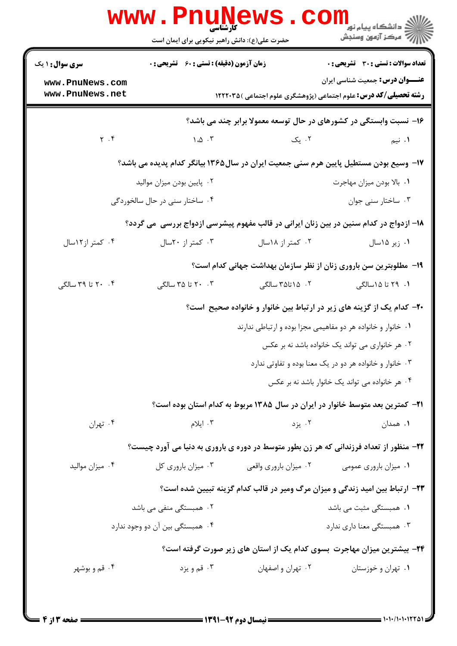|                                    | <b>WWW.PNUNEWS</b><br>کارشناسی<br>حضرت علی(ع): دانش راهبر نیکویی برای ایمان است        |                                                                                | ر دانشڪاه پيام نور ■<br>// مرکز آزمون وسنڊش      |
|------------------------------------|----------------------------------------------------------------------------------------|--------------------------------------------------------------------------------|--------------------------------------------------|
| <b>سری سوال : ۱ یک</b>             | <b>زمان آزمون (دقیقه) : تستی : 60 ٪ تشریحی : 0</b>                                     |                                                                                | تعداد سوالات : تستي : 30 ٪ تشريحي : 0            |
| www.PnuNews.com<br>www.PnuNews.net |                                                                                        | <b>رشته تحصیلی/کد درس:</b> علوم اجتماعی (پژوهشگری علوم اجتماعی )۱۲۲۲۰۳۵        | <b>عنـــوان درس:</b> جمعیت شناسی ایران           |
|                                    |                                                                                        | ۱۶- نسبت وابستگی در کشورهای در حال توسعه معمولا برابر چند می باشد؟             |                                                  |
| $Y \cdot Y$                        | $\Lambda$ . $\Delta$ . ٣                                                               | ۰۲ یک                                                                          | ۰۱ نیم                                           |
|                                    | ۱۷– وسیع بودن مستطیل پایین هرم سنی جمعیت ایران در سال۱۳۶۵ بیانگر کدام پدیده می باشد؟   |                                                                                |                                                  |
|                                    | ۰۲ پایین بودن میزان موالید                                                             |                                                                                | ٠١. بالا بودن ميزان مهاجرت                       |
|                                    | ۰۴ ساختار سنی در حال سالخوردگی                                                         |                                                                                | ۰۳ ساختار سنی جوان                               |
|                                    | ۱۸– ازدواج در کدام سنین در بین زنان ایرانی در قالب مفهوم پیشرسی ازدواج بررسی ًمی گردد؟ |                                                                                |                                                  |
| ۰۴ کمتر از۱۲سال                    | ۰۳ کمتر از ۲۰سال                                                                       | ۰۲ کمتر از ۱۸سال                                                               | ۰۱ زیر ۱۵سال                                     |
|                                    |                                                                                        | ۱۹- مطلوبترین سن باروری زنان از نظر سازمان بهداشت جهانی کدام است؟              |                                                  |
| ۰۴ تا ۳۹ سالگی                     | ۲۰ ۲۰ تا ۳۵ سالگی                                                                      | ۰۲ ۱۵تا۳۵ سالگی                                                                | ۱.  ۲۹ تا ۱۵سالگی                                |
|                                    |                                                                                        | +۲- کدام یک از گزینه های زیر در ارتباط بین خانوار و خانواده صحیح است؟          |                                                  |
|                                    |                                                                                        | ۰۱ خانوار و خانواده هر دو مفاهیمی مجزا بوده و ارتباطی ندارند                   |                                                  |
|                                    |                                                                                        |                                                                                | ۰۲ هر خانواری می تواند یک خانواده باشد نه بر عکس |
|                                    |                                                                                        | ۰۳ خانوار و خانواده هر دو در یک معنا بوده و تفاوتی ندارد                       |                                                  |
|                                    |                                                                                        |                                                                                | ۰۴ هر خانواده می تواند یک خانوار باشد نه بر عکس  |
|                                    |                                                                                        | ۲۱– کمترین بعد متوسط خانوار در ایران در سال ۱۳۸۵ مربوط به کدام استان بوده است؟ |                                                  |
| ۰۴ تهران                           | ۰۳ ایلام                                                                               | ۰۲ یزد                                                                         | ۰۱ همدان                                         |
|                                    | ۲۲- منظور از تعداد فرزندانی که هر زن بطور متوسط در دوره ی باروری به دنیا می آورد چیست؟ |                                                                                |                                                  |
| ۰۴ میزان موالید                    | ۰۳ میزان باروری کل                                                                     | ۰۲ میزان باروری واقعی                                                          | ۰۱ میزان باروری عمومی                            |
|                                    |                                                                                        | ۲۳- ارتباط بین امید زندگی و میزان مرگ ومیر در قالب کدام گزینه تبیین شده است؟   |                                                  |
|                                    | ۰۲ همبستگی منفی می باشد                                                                |                                                                                | ۰۱ همبستگی مثبت می باشد                          |
|                                    | ۰۴ همبستگی بین آن دو وجود ندارد                                                        |                                                                                | ۰۳ همبستگی معنا داری ندارد                       |
|                                    |                                                                                        | ۲۴- بیشترین میزان مهاجرت بسوی کدام یک از استان های زیر صورت گرفته است؟         |                                                  |
| ۰۴ قم و بوشهر                      | ۰۳ قم و يزد                                                                            | ۰۲ تهران و اصفهان                                                              | ۰۱ تهران و خوزستان                               |
|                                    |                                                                                        |                                                                                |                                                  |
|                                    |                                                                                        |                                                                                |                                                  |